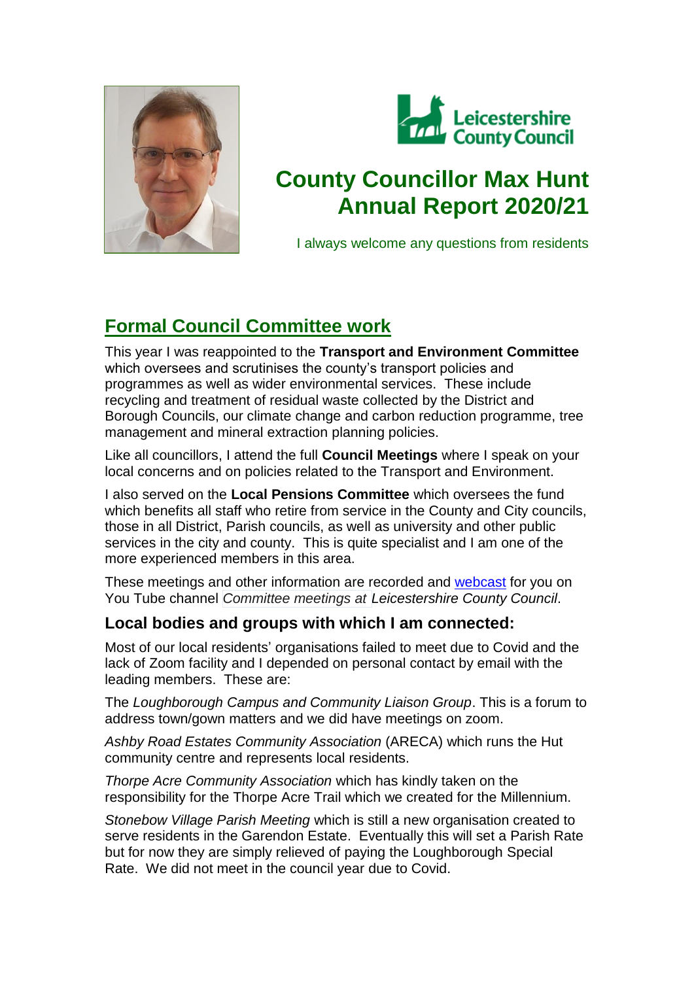



# **County Councillor Max Hunt Annual Report 2020/21**

I always welcome any questions from residents

## **Formal Council Committee work**

This year I was reappointed to the **Transport and Environment Committee** which oversees and scrutinises the county's transport policies and programmes as well as wider environmental services. These include recycling and treatment of residual waste collected by the District and Borough Councils, our climate change and carbon reduction programme, tree management and mineral extraction planning policies.

Like all councillors, I attend the full **Council Meetings** where I speak on your local concerns and on policies related to the Transport and Environment.

I also served on the **Local Pensions Committee** which oversees the fund which benefits all staff who retire from service in the County and City councils, those in all District, Parish councils, as well as university and other public services in the city and county. This is quite specialist and I am one of the more experienced members in this area.

These meetings and other information are recorded and [webcast](https://www.leicestershire.gov.uk/about-the-council/how-the-council-works/public-involvement/watch-council-meetings-online) for you on You Tube channel *Committee meetings at Leicestershire County Council*.

### **Local bodies and groups with which I am connected:**

Most of our local residents' organisations failed to meet due to Covid and the lack of Zoom facility and I depended on personal contact by email with the leading members. These are:

The *Loughborough Campus and Community Liaison Group*. This is a forum to address town/gown matters and we did have meetings on zoom.

*Ashby Road Estates Community Association* (ARECA) which runs the Hut community centre and represents local residents.

*Thorpe Acre Community Association* which has kindly taken on the responsibility for the Thorpe Acre Trail which we created for the Millennium.

*Stonebow Village Parish Meeting* which is still a new organisation created to serve residents in the Garendon Estate. Eventually this will set a Parish Rate but for now they are simply relieved of paying the Loughborough Special Rate. We did not meet in the council year due to Covid.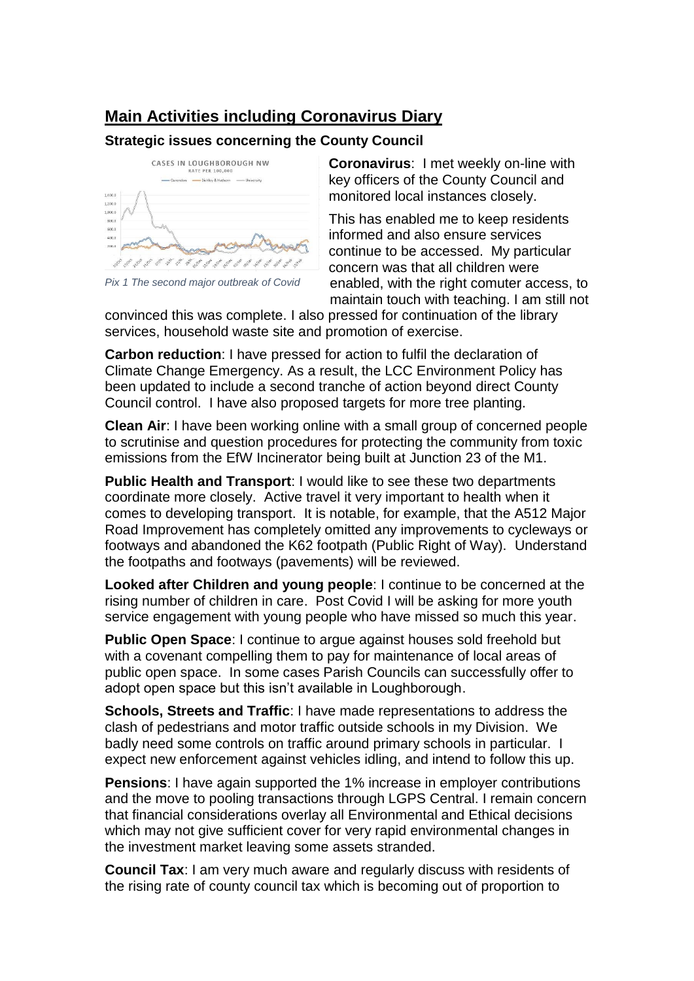### **Main Activities including Coronavirus Diary**

#### **Strategic issues concerning the County Council**



*Pix 1 The second major outbreak of Covid*

**Coronavirus**: I met weekly on-line with key officers of the County Council and monitored local instances closely.

This has enabled me to keep residents informed and also ensure services continue to be accessed. My particular concern was that all children were enabled, with the right comuter access, to maintain touch with teaching. I am still not

convinced this was complete. I also pressed for continuation of the library services, household waste site and promotion of exercise.

**Carbon reduction**: I have pressed for action to fulfil the declaration of Climate Change Emergency. As a result, the LCC Environment Policy has been updated to include a second tranche of action beyond direct County Council control. I have also proposed targets for more tree planting.

**Clean Air**: I have been working online with a small group of concerned people to scrutinise and question procedures for protecting the community from toxic emissions from the EfW Incinerator being built at Junction 23 of the M1.

**Public Health and Transport**: I would like to see these two departments coordinate more closely. Active travel it very important to health when it comes to developing transport. It is notable, for example, that the A512 Major Road Improvement has completely omitted any improvements to cycleways or footways and abandoned the K62 footpath (Public Right of Way). Understand the footpaths and footways (pavements) will be reviewed.

**Looked after Children and young people**: I continue to be concerned at the rising number of children in care. Post Covid I will be asking for more youth service engagement with young people who have missed so much this year.

**Public Open Space**: I continue to argue against houses sold freehold but with a covenant compelling them to pay for maintenance of local areas of public open space. In some cases Parish Councils can successfully offer to adopt open space but this isn't available in Loughborough.

**Schools, Streets and Traffic**: I have made representations to address the clash of pedestrians and motor traffic outside schools in my Division. We badly need some controls on traffic around primary schools in particular. I expect new enforcement against vehicles idling, and intend to follow this up.

**Pensions**: I have again supported the 1% increase in employer contributions and the move to pooling transactions through LGPS Central. I remain concern that financial considerations overlay all Environmental and Ethical decisions which may not give sufficient cover for very rapid environmental changes in the investment market leaving some assets stranded.

**Council Tax**: I am very much aware and regularly discuss with residents of the rising rate of county council tax which is becoming out of proportion to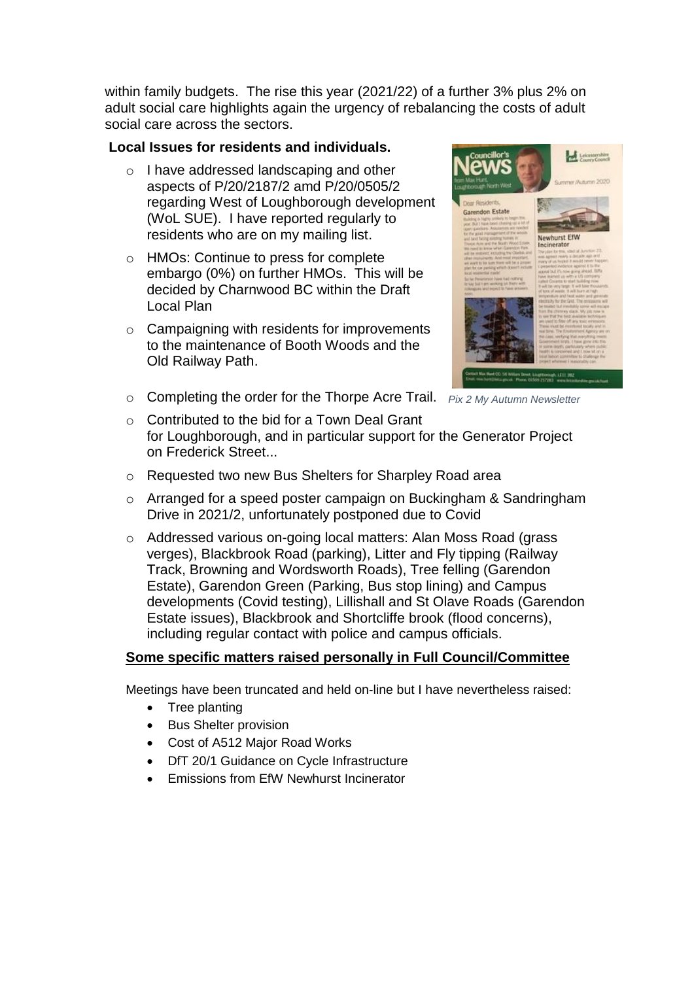within family budgets. The rise this year (2021/22) of a further 3% plus 2% on adult social care highlights again the urgency of rebalancing the costs of adult social care across the sectors.

#### **Local Issues for residents and individuals.**

- o I have addressed landscaping and other aspects of P/20/2187/2 amd P/20/0505/2 regarding West of Loughborough development (WoL SUE). I have reported regularly to residents who are on my mailing list.
- o HMOs: Continue to press for complete embargo (0%) on further HMOs. This will be decided by Charnwood BC within the Draft Local Plan
- $\circ$  Campaigning with residents for improvements to the maintenance of Booth Woods and the Old Railway Path.
- *Pix 2 My Autumn Newsletter* o Completing the order for the Thorpe Acre Trail.



- o Contributed to the bid for a Town Deal Grant for Loughborough, and in particular support for the Generator Project on Frederick Street...
- o Requested two new Bus Shelters for Sharpley Road area
- o Arranged for a speed poster campaign on Buckingham & Sandringham Drive in 2021/2, unfortunately postponed due to Covid
- o Addressed various on-going local matters: Alan Moss Road (grass verges), Blackbrook Road (parking), Litter and Fly tipping (Railway Track, Browning and Wordsworth Roads), Tree felling (Garendon Estate), Garendon Green (Parking, Bus stop lining) and Campus developments (Covid testing), Lillishall and St Olave Roads (Garendon Estate issues), Blackbrook and Shortcliffe brook (flood concerns), including regular contact with police and campus officials.

#### **Some specific matters raised personally in Full Council/Committee**

Meetings have been truncated and held on-line but I have nevertheless raised:

- Tree planting
- Bus Shelter provision
- Cost of A512 Major Road Works
- DfT 20/1 Guidance on Cycle Infrastructure
- Emissions from EfW Newhurst Incinerator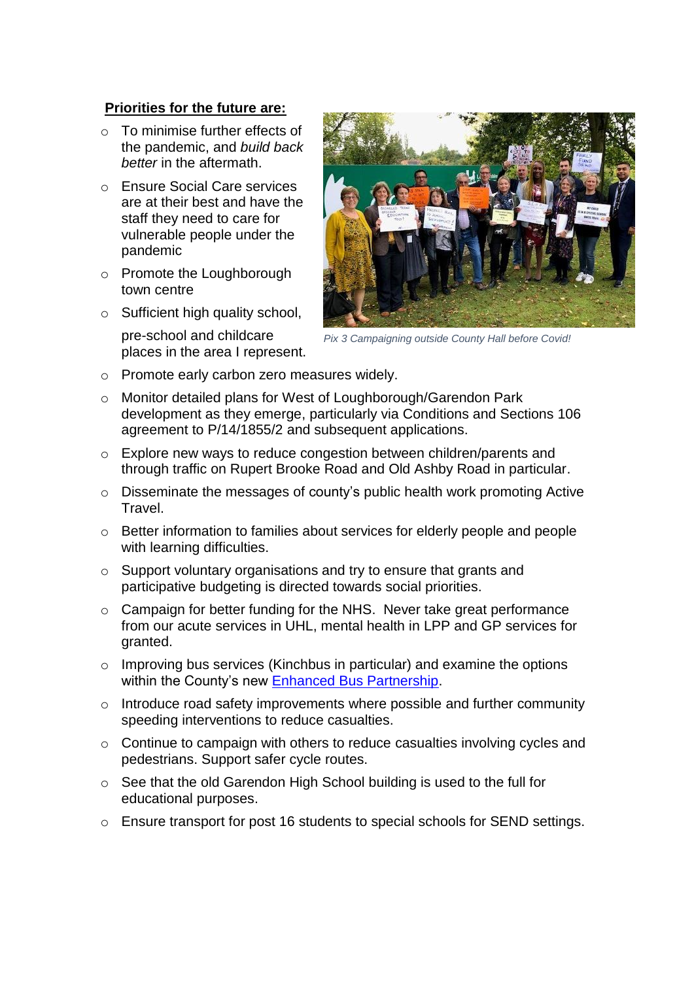#### **Priorities for the future are:**

- o To minimise further effects of the pandemic, and *build back better* in the aftermath.
- o Ensure Social Care services are at their best and have the staff they need to care for vulnerable people under the pandemic
- o Promote the Loughborough town centre
- o Sufficient high quality school,
	- pre-school and childcare places in the area I represent.



*Pix 3 Campaigning outside County Hall before Covid!*

- o Promote early carbon zero measures widely.
- o Monitor detailed plans for West of Loughborough/Garendon Park development as they emerge, particularly via Conditions and Sections 106 agreement to P/14/1855/2 and subsequent applications.
- o Explore new ways to reduce congestion between children/parents and through traffic on Rupert Brooke Road and Old Ashby Road in particular.
- o Disseminate the messages of county's public health work promoting Active **Travel**
- o Better information to families about services for elderly people and people with learning difficulties.
- o Support voluntary organisations and try to ensure that grants and participative budgeting is directed towards social priorities.
- o Campaign for better funding for the NHS. Never take great performance from our acute services in UHL, mental health in LPP and GP services for granted.
- o Improving bus services (Kinchbus in particular) and examine the options within the County's new [Enhanced Bus Partnership.](http://www.passengertransport.co.uk/2021/03/plenty-of-ambition-but-ambiguity-also/)
- o Introduce road safety improvements where possible and further community speeding interventions to reduce casualties.
- o Continue to campaign with others to reduce casualties involving cycles and pedestrians. Support safer cycle routes.
- o See that the old Garendon High School building is used to the full for educational purposes.
- o Ensure transport for post 16 students to special schools for SEND settings.